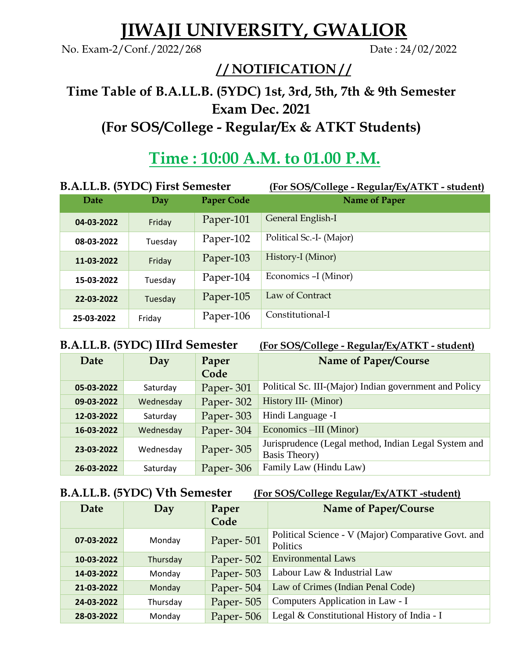# **JIWAJI UNIVERSITY, GWALIOR**

No. Exam-2/Conf./2022/268 Date : 24/02/2022

### **/ / NOTIFICATION / /**

## **Time Table of B.A.LL.B. (5YDC) 1st, 3rd, 5th, 7th & 9th Semester Exam Dec. 2021 (For SOS/College - Regular/Ex & ATKT Students)**

## **Time : 10:00 A.M. to 01.00 P.M.**

| B.A.LL.B. (5YDC) First Semester |         |                   | (For SOS/College - Regular/Ex/ATKT - student) |
|---------------------------------|---------|-------------------|-----------------------------------------------|
| Date                            | Day     | <b>Paper Code</b> | <b>Name of Paper</b>                          |
| 04-03-2022                      | Friday  | Paper-101         | General English-I                             |
| 08-03-2022                      | Tuesday | Paper-102         | Political Sc.-I- (Major)                      |
| 11-03-2022                      | Friday  | Paper-103         | History-I (Minor)                             |
| 15-03-2022                      | Tuesday | Paper-104         | Economics -I (Minor)                          |
| 22-03-2022                      | Tuesday | Paper-105         | Law of Contract                               |
| 25-03-2022                      | Friday  | Paper-106         | Constitutional-I                              |

### **B.A.LL.B. (5YDC) IIIrd Semester (For SOS/College - Regular/Ex/ATKT - student)**

| Date       | Day       | Paper<br>Code | Name of Paper/Course                                                  |
|------------|-----------|---------------|-----------------------------------------------------------------------|
| 05-03-2022 | Saturday  | Paper-301     | Political Sc. III-(Major) Indian government and Policy                |
| 09-03-2022 | Wednesday | Paper-302     | History III- (Minor)                                                  |
| 12-03-2022 | Saturday  | Paper-303     | Hindi Language -I                                                     |
| 16-03-2022 | Wednesday | Paper-304     | Economics –III (Minor)                                                |
| 23-03-2022 | Wednesday | Paper-305     | Jurisprudence (Legal method, Indian Legal System and<br>Basis Theory) |
| 26-03-2022 | Saturday  | Paper-306     | Family Law (Hindu Law)                                                |

**B.A.LL.B. (5YDC) Vth Semester (For SOS/College Regular/Ex/ATKT -student)**

| Date       | Day      | Paper<br>Code | Name of Paper/Course                                            |
|------------|----------|---------------|-----------------------------------------------------------------|
| 07-03-2022 | Monday   | Paper-501     | Political Science - V (Major) Comparative Govt. and<br>Politics |
| 10-03-2022 | Thursday | Paper-502     | <b>Environmental Laws</b>                                       |
| 14-03-2022 | Monday   | Paper-503     | Labour Law & Industrial Law                                     |
| 21-03-2022 | Monday   | Paper-504     | Law of Crimes (Indian Penal Code)                               |
| 24-03-2022 | Thursday | Paper-505     | Computers Application in Law - I                                |
| 28-03-2022 | Monday   | Paper-506     | Legal & Constitutional History of India - I                     |